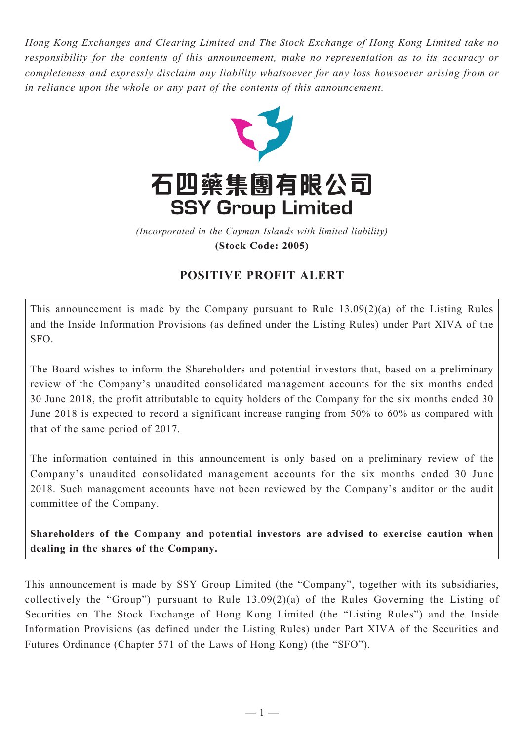*Hong Kong Exchanges and Clearing Limited and The Stock Exchange of Hong Kong Limited take no responsibility for the contents of this announcement, make no representation as to its accuracy or completeness and expressly disclaim any liability whatsoever for any loss howsoever arising from or in reliance upon the whole or any part of the contents of this announcement.*



(Incorporated in the Cayman Islands with limited liability) *(Incorporated in the Cayman Islands with limited liability)* **(Stock Code: 2005) (Stock Code: 2005)**

## **POSITIVE PROFIT ALERT**

This announcement is made by the Company pursuant to Rule 13.09(2)(a) of the Listing Rules and the Inside Information Provisions (as defined under the Listing Rules) under Part XIVA of the SFO.

The Board wishes to inform the Shareholders and potential investors that, based on a preliminary review of the Company's unaudited consolidated management accounts for the six months ended 30 June 2018, the profit attributable to equity holders of the Company for the six months ended 30 June 2018 is expected to record a significant increase ranging from 50% to 60% as compared with that of the same period of 2017.

The information contained in this announcement is only based on a preliminary review of the Company's unaudited consolidated management accounts for the six months ended 30 June 2018. Such management accounts have not been reviewed by the Company's auditor or the audit committee of the Company.

**Shareholders of the Company and potential investors are advised to exercise caution when dealing in the shares of the Company.**

This announcement is made by SSY Group Limited (the "Company", together with its subsidiaries, collectively the "Group") pursuant to Rule 13.09(2)(a) of the Rules Governing the Listing of Securities on The Stock Exchange of Hong Kong Limited (the "Listing Rules") and the Inside Information Provisions (as defined under the Listing Rules) under Part XIVA of the Securities and Futures Ordinance (Chapter 571 of the Laws of Hong Kong) (the "SFO").